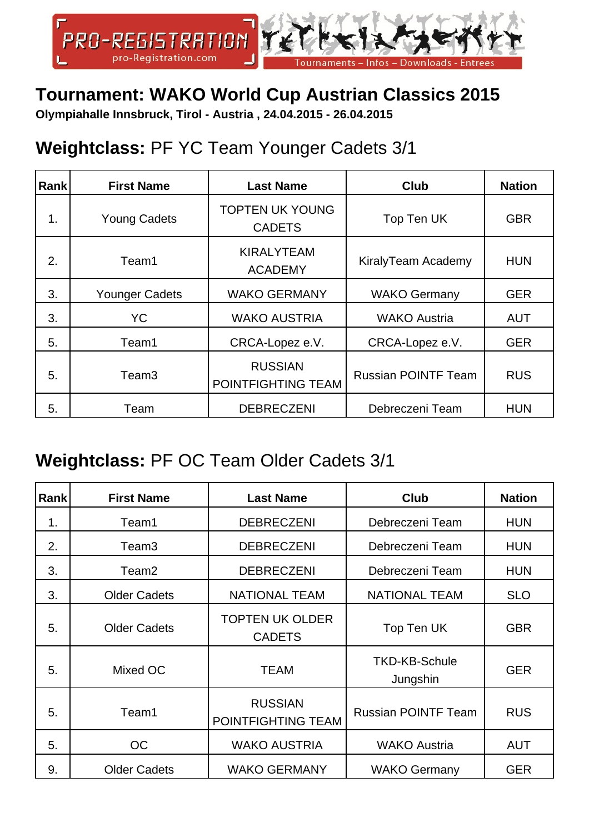

### **Tournament: WAKO World Cup Austrian Classics 2015**

**Olympiahalle Innsbruck, Tirol - Austria , 24.04.2015 - 26.04.2015**

### **Weightclass:** PF YC Team Younger Cadets 3/1

| Rank | <b>First Name</b>   | <b>Last Name</b>                        | <b>Club</b>                | <b>Nation</b> |
|------|---------------------|-----------------------------------------|----------------------------|---------------|
| 1.   | <b>Young Cadets</b> | <b>TOPTEN UK YOUNG</b><br><b>CADETS</b> | Top Ten UK                 | <b>GBR</b>    |
| 2.   | Team1               | <b>KIRALYTEAM</b><br><b>ACADEMY</b>     | KiralyTeam Academy         | <b>HUN</b>    |
| 3.   | Younger Cadets      | <b>WAKO GERMANY</b>                     | <b>WAKO Germany</b>        | <b>GER</b>    |
| 3.   | <b>YC</b>           | <b>WAKO AUSTRIA</b>                     | <b>WAKO Austria</b>        | <b>AUT</b>    |
| 5.   | Team1               | CRCA-Lopez e.V.                         | CRCA-Lopez e.V.            | <b>GER</b>    |
| 5.   | Team3               | <b>RUSSIAN</b><br>POINTFIGHTING TEAM    | <b>Russian POINTF Team</b> | <b>RUS</b>    |
| 5.   | Team                | <b>DEBRECZENI</b>                       | Debreczeni Team            | <b>HUN</b>    |

#### **Weightclass:** PF OC Team Older Cadets 3/1

| Rank | <b>First Name</b>   | <b>Last Name</b>                        | <b>Club</b>                      | <b>Nation</b> |
|------|---------------------|-----------------------------------------|----------------------------------|---------------|
| 1.   | Team1               | <b>DEBRECZENI</b>                       | Debreczeni Team                  | <b>HUN</b>    |
| 2.   | Team <sub>3</sub>   | <b>DEBRECZENI</b>                       | Debreczeni Team                  | <b>HUN</b>    |
| 3.   | Team2               | <b>DEBRECZENI</b>                       | Debreczeni Team                  | <b>HUN</b>    |
| 3.   | <b>Older Cadets</b> | <b>NATIONAL TEAM</b>                    | <b>NATIONAL TEAM</b>             | <b>SLO</b>    |
| 5.   | <b>Older Cadets</b> | <b>TOPTEN UK OLDER</b><br><b>CADETS</b> | Top Ten UK                       | <b>GBR</b>    |
| 5.   | Mixed OC            | <b>TEAM</b>                             | <b>TKD-KB-Schule</b><br>Jungshin | <b>GER</b>    |
| 5.   | Team1               | <b>RUSSIAN</b><br>POINTFIGHTING TEAM    | <b>Russian POINTF Team</b>       | <b>RUS</b>    |
| 5.   | <b>OC</b>           | <b>WAKO AUSTRIA</b>                     | <b>WAKO Austria</b>              | <b>AUT</b>    |
| 9.   | <b>Older Cadets</b> | <b>WAKO GERMANY</b>                     | <b>WAKO Germany</b>              | <b>GER</b>    |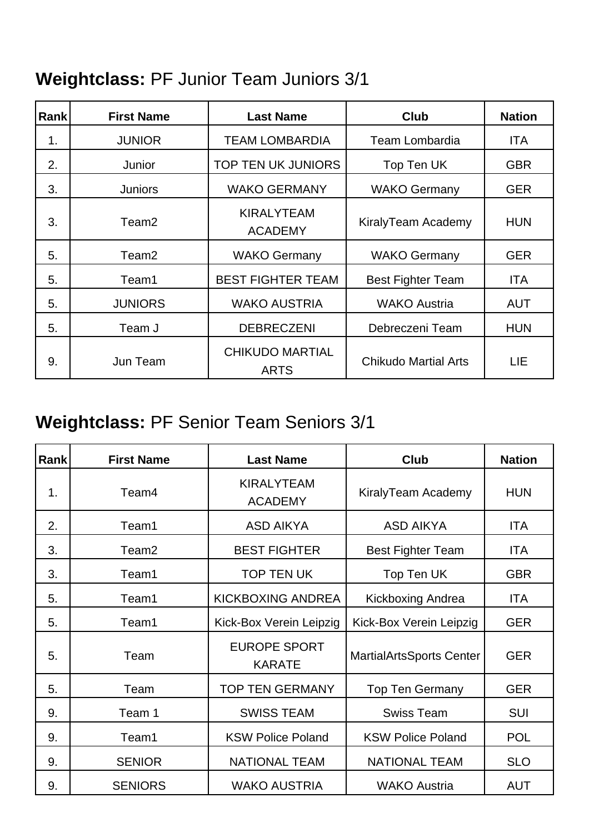# **Weightclass:** PF Junior Team Juniors 3/1

| Rankl | <b>First Name</b> | <b>Last Name</b>                      | <b>Club</b>                 | <b>Nation</b> |
|-------|-------------------|---------------------------------------|-----------------------------|---------------|
| 1.    | <b>JUNIOR</b>     | <b>TEAM LOMBARDIA</b>                 | <b>Team Lombardia</b>       | ITA           |
| 2.    | Junior            | <b>TOP TEN UK JUNIORS</b>             | Top Ten UK                  | <b>GBR</b>    |
| 3.    | <b>Juniors</b>    | <b>WAKO GERMANY</b>                   | <b>WAKO Germany</b>         | <b>GER</b>    |
| 3.    | Team <sub>2</sub> | <b>KIRALYTEAM</b><br><b>ACADEMY</b>   | KiralyTeam Academy          | <b>HUN</b>    |
| 5.    | Team <sub>2</sub> | <b>WAKO Germany</b>                   | <b>WAKO Germany</b>         | <b>GER</b>    |
| 5.    | Team1             | <b>BEST FIGHTER TEAM</b>              | <b>Best Fighter Team</b>    | ITA           |
| 5.    | <b>JUNIORS</b>    | <b>WAKO AUSTRIA</b>                   | <b>WAKO Austria</b>         | <b>AUT</b>    |
| 5.    | Team J            | <b>DEBRECZENI</b>                     | Debreczeni Team             | <b>HUN</b>    |
| 9.    | Jun Team          | <b>CHIKUDO MARTIAL</b><br><b>ARTS</b> | <b>Chikudo Martial Arts</b> | LIE           |

# **Weightclass:** PF Senior Team Seniors 3/1

| <b>Rank</b> | <b>First Name</b> | <b>Last Name</b>                     | Club                            | <b>Nation</b> |
|-------------|-------------------|--------------------------------------|---------------------------------|---------------|
| 1.          | Team4             | <b>KIRALYTEAM</b><br><b>ACADEMY</b>  | KiralyTeam Academy              | <b>HUN</b>    |
| 2.          | Team1             | <b>ASD AIKYA</b>                     | <b>ASD AIKYA</b>                | ITA           |
| 3.          | Team <sub>2</sub> | <b>BEST FIGHTER</b>                  | <b>Best Fighter Team</b>        | ITA           |
| 3.          | Team1             | <b>TOP TEN UK</b>                    | Top Ten UK                      | <b>GBR</b>    |
| 5.          | Team1             | <b>KICKBOXING ANDREA</b>             | <b>Kickboxing Andrea</b>        | <b>ITA</b>    |
| 5.          | Team1             | Kick-Box Verein Leipzig              | Kick-Box Verein Leipzig         | <b>GER</b>    |
| 5.          | Team              | <b>EUROPE SPORT</b><br><b>KARATE</b> | <b>MartialArtsSports Center</b> | <b>GER</b>    |
| 5.          | Team              | <b>TOP TEN GERMANY</b>               | <b>Top Ten Germany</b>          | <b>GER</b>    |
| 9.          | Team 1            | <b>SWISS TEAM</b>                    | <b>Swiss Team</b>               | SUI           |
| 9.          | Team1             | <b>KSW Police Poland</b>             | <b>KSW Police Poland</b>        | <b>POL</b>    |
| 9.          | <b>SENIOR</b>     | <b>NATIONAL TEAM</b>                 | <b>NATIONAL TEAM</b>            | <b>SLO</b>    |
| 9.          | <b>SENIORS</b>    | <b>WAKO AUSTRIA</b>                  | <b>WAKO Austria</b>             | <b>AUT</b>    |